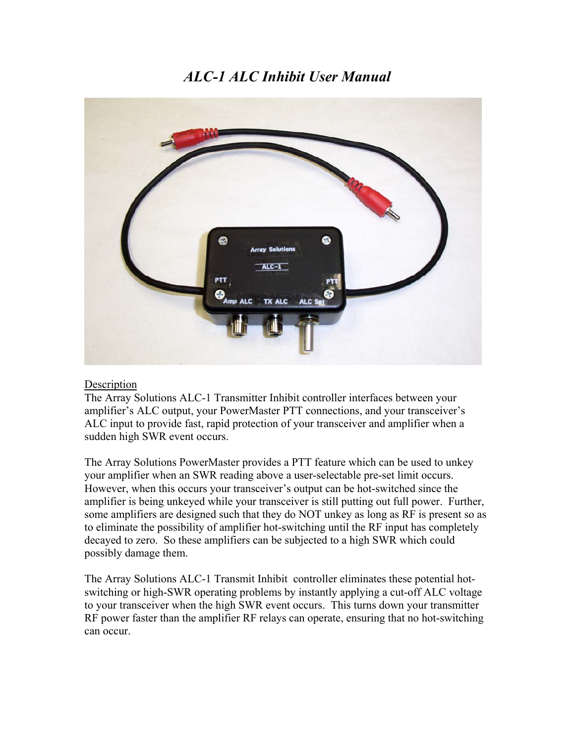# *ALC-1 ALC Inhibit User Manual*



#### **Description**

The Array Solutions ALC-1 Transmitter Inhibit controller interfaces between your amplifier's ALC output, your PowerMaster PTT connections, and your transceiver's ALC input to provide fast, rapid protection of your transceiver and amplifier when a sudden high SWR event occurs.

The Array Solutions PowerMaster provides a PTT feature which can be used to unkey your amplifier when an SWR reading above a user-selectable pre-set limit occurs. However, when this occurs your transceiver's output can be hot-switched since the amplifier is being unkeyed while your transceiver is still putting out full power. Further, some amplifiers are designed such that they do NOT unkey as long as RF is present so as to eliminate the possibility of amplifier hot-switching until the RF input has completely decayed to zero. So these amplifiers can be subjected to a high SWR which could possibly damage them.

The Array Solutions ALC-1 Transmit Inhibit controller eliminates these potential hotswitching or high-SWR operating problems by instantly applying a cut-off ALC voltage to your transceiver when the high SWR event occurs. This turns down your transmitter RF power faster than the amplifier RF relays can operate, ensuring that no hot-switching can occur.